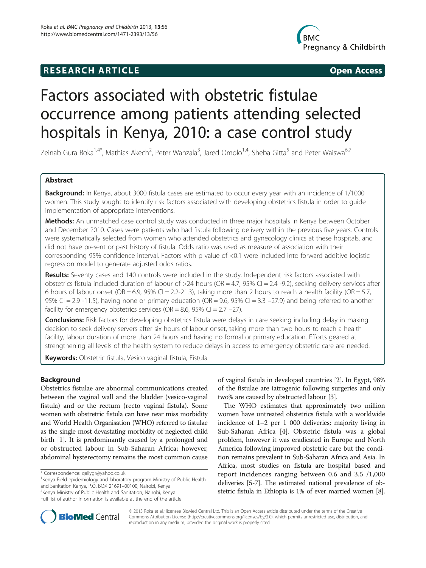# **RESEARCH ARTICLE Example 2014 12:30 The SEAR CHA RESEARCH ARTICLE**



# Factors associated with obstetric fistulae occurrence among patients attending selected hospitals in Kenya, 2010: a case control study

Zeinab Gura Roka<sup>1,4\*</sup>, Mathias Akech<sup>2</sup>, Peter Wanzala<sup>3</sup>, Jared Omolo<sup>1,4</sup>, Sheba Gitta<sup>5</sup> and Peter Waiswa<sup>6,7</sup>

# Abstract

Background: In Kenya, about 3000 fistula cases are estimated to occur every year with an incidence of 1/1000 women. This study sought to identify risk factors associated with developing obstetrics fistula in order to guide implementation of appropriate interventions.

Methods: An unmatched case control study was conducted in three major hospitals in Kenya between October and December 2010. Cases were patients who had fistula following delivery within the previous five years. Controls were systematically selected from women who attended obstetrics and gynecology clinics at these hospitals, and did not have present or past history of fistula. Odds ratio was used as measure of association with their corresponding 95% confidence interval. Factors with p value of <0.1 were included into forward additive logistic regression model to generate adjusted odds ratios.

Results: Seventy cases and 140 controls were included in the study. Independent risk factors associated with obstetrics fistula included duration of labour of  $>24$  hours (OR = 4.7, 95% CI = 2.4 -9.2), seeking delivery services after 6 hours of labour onset (OR = 6.9, 95% CI = 2.2-21.3), taking more than 2 hours to reach a health facility (OR = 5.7, 95% CI = 2.9 -11.5), having none or primary education (OR = 9.6, 95% CI = 3.3 -27.9) and being referred to another facility for emergency obstetrics services (OR = 8.6, 95% CI =  $2.7 - 27$ ).

**Conclusions:** Risk factors for developing obstetrics fistula were delays in care seeking including delay in making decision to seek delivery servers after six hours of labour onset, taking more than two hours to reach a health facility, labour duration of more than 24 hours and having no formal or primary education. Efforts geared at strengthening all levels of the health system to reduce delays in access to emergency obstetric care are needed.

Keywords: Obstetric fistula, Vesico vaginal fistula, Fistula

# Background

Obstetrics fistulae are abnormal communications created between the vaginal wall and the bladder (vesico-vaginal fistula) and or the rectum (recto vaginal fistula). Some women with obstretric fistula can have near miss morbidity and World Health Organisation (WHO) referred to fistulae as the single most devastating morbidity of neglected child birth [\[1\]](#page-5-0). It is predominantly caused by a prolonged and or obstructed labour in Sub-Saharan Africa; however, abdominal hysterectomy remains the most common cause

 $1$ Kenya Field epidemiology and laboratory program Ministry of Public Health and Sanitation Kenya, P.O. BOX 21691–00100, Nairobi, Kenya <sup>4</sup> <sup>4</sup> Kenya Ministry of Public Health and Sanitation, Nairobi, Kenya Full list of author information is available at the end of the article

of vaginal fistula in developed countries [\[2](#page-5-0)]. In Egypt, 98% of the fistulae are iatrogenic following surgeries and only two% are caused by obstructed labour [\[3\]](#page-5-0).

The WHO estimates that approximately two million women have untreated obstetrics fistula with a worldwide incidence of 1–2 per 1 000 deliveries; majority living in Sub-Saharan Africa [\[4](#page-5-0)]. Obstetric fistula was a global problem, however it was eradicated in Europe and North America following improved obstetric care but the condition remains prevalent in Sub-Saharan Africa and Asia. In Africa, most studies on fistula are hospital based and report incidences ranging between 0.6 and 3.5 /1,000 deliveries [\[5](#page-5-0)[-7\]](#page-6-0). The estimated national prevalence of obstetric fistula in Ethiopia is 1% of ever married women [[8](#page-6-0)].



© 2013 Roka et al.; licensee BioMed Central Ltd. This is an Open Access article distributed under the terms of the Creative Commons Attribution License [\(http://creativecommons.org/licenses/by/2.0\)](http://creativecommons.org/licenses/by/2.0), which permits unrestricted use, distribution, and reproduction in any medium, provided the original work is properly cited.

<sup>\*</sup> Correspondence: [qallygr@yahoo.co.uk](mailto:qallygr@yahoo.co.uk) <sup>1</sup>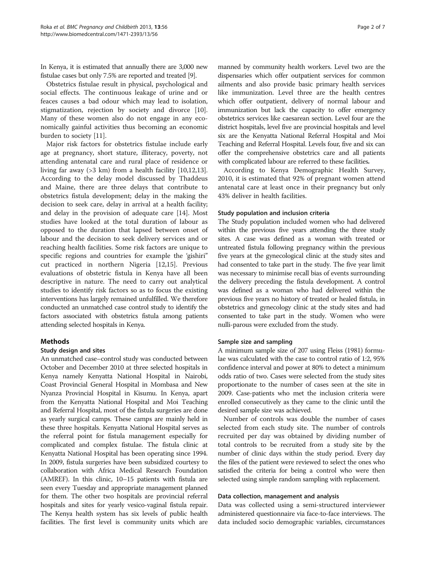In Kenya, it is estimated that annually there are 3,000 new fistulae cases but only 7.5% are reported and treated [[9](#page-6-0)].

Obstetrics fistulae result in physical, psychological and social effects. The continuous leakage of urine and or feaces causes a bad odour which may lead to isolation, stigmatization, rejection by society and divorce [\[10](#page-6-0)]. Many of these women also do not engage in any economically gainful activities thus becoming an economic burden to society [[11\]](#page-6-0).

Major risk factors for obstetrics fistulae include early age at pregnancy, short stature, illiteracy, poverty, not attending antenatal care and rural place of residence or living far away (>3 km) from a health facility [\[10,12,13](#page-6-0)]. According to the delay model discussed by Thaddeus and Maine, there are three delays that contribute to obstetrics fistula development; delay in the making the decision to seek care, delay in arrival at a health facility; and delay in the provision of adequate care [[14\]](#page-6-0). Most studies have looked at the total duration of labour as opposed to the duration that lapsed between onset of labour and the decision to seek delivery services and or reaching health facilities. Some risk factors are unique to specific regions and countries for example the 'gishiri" cut practiced in northern Nigeria [\[12,15\]](#page-6-0). Previous evaluations of obstetric fistula in Kenya have all been descriptive in nature. The need to carry out analytical studies to identify risk factors so as to focus the existing interventions has largely remained unfulfilled. We therefore conducted an unmatched case control study to identify the factors associated with obstetrics fistula among patients attending selected hospitals in Kenya.

# Methods

#### Study design and sites

An unmatched case–control study was conducted between October and December 2010 at three selected hospitals in Kenya namely Kenyatta National Hospital in Nairobi, Coast Provincial General Hospital in Mombasa and New Nyanza Provincial Hospital in Kisumu. In Kenya, apart from the Kenyatta National Hospital and Moi Teaching and Referral Hospital, most of the fistula surgeries are done as yearly surgical camps. These camps are mainly held in these three hospitals. Kenyatta National Hospital serves as the referral point for fistula management especially for complicated and complex fistulae. The fistula clinic at Kenyatta National Hospital has been operating since 1994. In 2009, fistula surgeries have been subsidized courtesy to collaboration with Africa Medical Research Foundation (AMREF). In this clinic, 10–15 patients with fistula are seen every Tuesday and appropriate management planned for them. The other two hospitals are provincial referral hospitals and sites for yearly vesico-vaginal fistula repair. The Kenya health system has six levels of public health facilities. The first level is community units which are

manned by community health workers. Level two are the dispensaries which offer outpatient services for common ailments and also provide basic primary health services like immunization. Level three are the health centres which offer outpatient, delivery of normal labour and immunization but lack the capacity to offer emergency obstetrics services like caesarean section. Level four are the district hospitals, level five are provincial hospitals and level six are the Kenyatta National Referral Hospital and Moi Teaching and Referral Hospital. Levels four, five and six can offer the comprehensive obstetrics care and all patients with complicated labour are referred to these facilities.

According to Kenya Demographic Health Survey, 2010, it is estimated that 92% of pregnant women attend antenatal care at least once in their pregnancy but only 43% deliver in health facilities.

# Study population and inclusion criteria

The Study population included women who had delivered within the previous five years attending the three study sites. A case was defined as a woman with treated or untreated fistula following pregnancy within the previous five years at the gynecological clinic at the study sites and had consented to take part in the study. The five year limit was necessary to minimise recall bias of events surrounding the delivery preceding the fistula development. A control was defined as a woman who had delivered within the previous five years no history of treated or healed fistula, in obstetrics and gynecology clinic at the study sites and had consented to take part in the study. Women who were nulli-parous were excluded from the study.

#### Sample size and sampling

A minimum sample size of 207 using Fleiss (1981) formulae was calculated with the case to control ratio of 1:2, 95% confidence interval and power at 80% to detect a minimum odds ratio of two. Cases were selected from the study sites proportionate to the number of cases seen at the site in 2009. Case-patients who met the inclusion criteria were enrolled consecutively as they came to the clinic until the desired sample size was achieved.

Number of controls was double the number of cases selected from each study site. The number of controls recruited per day was obtained by dividing number of total controls to be recruited from a study site by the number of clinic days within the study period. Every day the files of the patient were reviewed to select the ones who satisfied the criteria for being a control who were then selected using simple random sampling with replacement.

#### Data collection, management and analysis

Data was collected using a semi-structured interviewer administered questionnaire via face-to-face interviews. The data included socio demographic variables, circumstances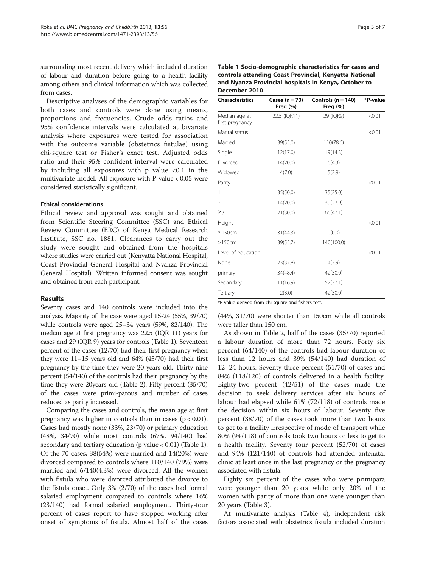surrounding most recent delivery which included duration of labour and duration before going to a health facility among others and clinical information which was collected from cases.

Descriptive analyses of the demographic variables for both cases and controls were done using means, proportions and frequencies. Crude odds ratios and 95% confidence intervals were calculated at bivariate analysis where exposures were tested for association with the outcome variable (obstetrics fistulae) using chi-square test or Fisher's exact test. Adjusted odds ratio and their 95% confident interval were calculated by including all exposures with  $p$  value  $\langle 0.1 \rangle$  in the multivariate model. All exposure with P value < 0.05 were considered statistically significant.

#### Ethical considerations

Ethical review and approval was sought and obtained from Scientific Steering Committee (SSC) and Ethical Review Committee (ERC) of Kenya Medical Research Institute, SSC no. 1881. Clearances to carry out the study were sought and obtained from the hospitals where studies were carried out (Kenyatta National Hospital, Coast Provincial General Hospital and Nyanza Provincial General Hospital). Written informed consent was sought and obtained from each participant.

#### Results

Seventy cases and 140 controls were included into the analysis. Majority of the case were aged 15-24 (55%, 39/70) while controls were aged 25–34 years (59%, 82/140). The median age at first pregnancy was 22.5 (IQR 11) years for cases and 29 (IQR 9) years for controls (Table 1). Seventeen percent of the cases (12/70) had their first pregnancy when they were 11–15 years old and 64% (45/70) had their first pregnancy by the time they were 20 years old. Thirty-nine percent (54/140) of the controls had their pregnancy by the time they were 20years old (Table [2](#page-3-0)). Fifty percent (35/70) of the cases were primi-parous and number of cases reduced as parity increased.

Comparing the cases and controls, the mean age at first pregnancy was higher in controls than in cases  $(p < 0.01)$ . Cases had mostly none (33%, 23/70) or primary education (48%, 34/70) while most controls (67%, 94/140) had secondary and tertiary education (p value < 0.01) (Table 1). Of the 70 cases, 38(54%) were married and 14(20%) were divorced compared to controls where 110/140 (79%) were married and 6/140(4.3%) were divorced. All the women with fistula who were divorced attributed the divorce to the fistula onset. Only 3% (2/70) of the cases had formal salaried employment compared to controls where 16% (23/140) had formal salaried employment. Thirty-four percent of cases report to have stopped working after onset of symptoms of fistula. Almost half of the cases

| <b>Characteristics</b>           | Cases $(n = 70)$<br>Freq $(\%)$ | Controls $(n = 140)$<br>Freq $(\%)$ | *P-value |  |  |
|----------------------------------|---------------------------------|-------------------------------------|----------|--|--|
| Median age at<br>first pregnancy | 29 (IQR9)<br>22.5 (IQR11)       |                                     | < 0.01   |  |  |
| Marital status                   |                                 |                                     | < 0.01   |  |  |
| Married                          | 39(55.0)                        | 110(78.6)                           |          |  |  |
| Single                           | 12(17.0)                        | 19(14.3)                            |          |  |  |
| Divorced                         | 14(20.0)                        | 6(4.3)                              |          |  |  |
| Widowed                          | 4(7.0)                          | 5(2.9)                              |          |  |  |
| Parity                           |                                 |                                     | < 0.01   |  |  |
| 1                                | 35(50.0)                        | 35(25.0)                            |          |  |  |
| $\overline{2}$                   | 14(20.0)                        | 39(27.9)                            |          |  |  |
| $\geq$ 3                         | 21(30.0)                        | 66(47.1)                            |          |  |  |
| Height                           |                                 |                                     | < 0.01   |  |  |
| $≤150cm$                         | 31(44.3)                        | O(0.0)                              |          |  |  |
| >150cm                           | 39(55.7)                        | 140(100.0)                          |          |  |  |
| Level of education               |                                 |                                     | < 0.01   |  |  |
| None                             | 23(32.8)                        | 4(2.9)                              |          |  |  |
| primary                          | 34(48.4)                        | 42(30.0)                            |          |  |  |
| Secondary                        | 11(16.9)                        | 52(37.1)                            |          |  |  |
| Tertiary                         | 2(3.0)                          | 42(30.0)                            |          |  |  |

Table 1 Socio-demographic characteristics for cases and controls attending Coast Provincial, Kenyatta National and Nyanza Provincial hospitals in Kenya, October to December 2010

\*P-value derived from chi square and fishers test.

(44%, 31/70) were shorter than 150cm while all controls were taller than 150 cm.

As shown in Table [2](#page-3-0), half of the cases (35/70) reported a labour duration of more than 72 hours. Forty six percent (64/140) of the controls had labour duration of less than 12 hours and 39% (54/140) had duration of 12–24 hours. Seventy three percent (51/70) of cases and 84% (118/120) of controls delivered in a health facility. Eighty-two percent (42/51) of the cases made the decision to seek delivery services after six hours of labour had elapsed while 61% (72/118) of controls made the decision within six hours of labour. Seventy five percent (38/70) of the cases took more than two hours to get to a facility irrespective of mode of transport while 80% (94/118) of controls took two hours or less to get to a health facility. Seventy four percent (52/70) of cases and 94% (121/140) of controls had attended antenatal clinic at least once in the last pregnancy or the pregnancy associated with fistula.

Eighty six percent of the cases who were primipara were younger than 20 years while only 20% of the women with parity of more than one were younger than 20 years (Table [3](#page-3-0)).

At multivariate analysis (Table [4](#page-4-0)), independent risk factors associated with obstetrics fistula included duration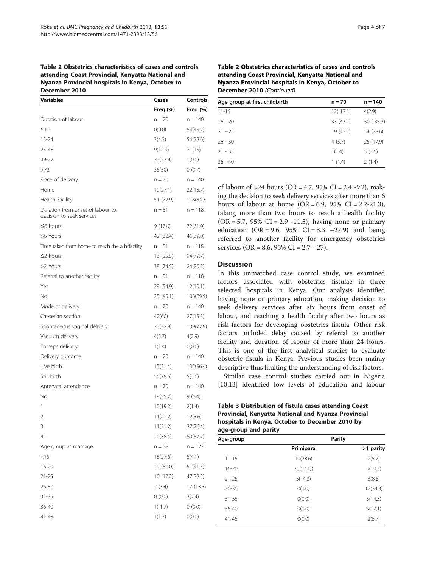<span id="page-3-0"></span>Table 2 Obstetrics characteristics of cases and controls attending Coast Provincial, Kenyatta National and Nyanza Provincial hospitals in Kenya, October to December 2010

| Variables                                                     | Cases       | Controls    |  |
|---------------------------------------------------------------|-------------|-------------|--|
|                                                               | Freq $(\%)$ | Freq $(\%)$ |  |
| Duration of labour                                            | $n = 70$    | $n = 140$   |  |
| $\leq$ 12                                                     | O(0.0)      | 64(45.7)    |  |
| 13-24                                                         | 3(4.3)      | 54(38.6)    |  |
| 25-48                                                         | 9(12.9)     | 21(15)      |  |
| 49-72                                                         | 23(32.9)    | 1(0.0)      |  |
| >72                                                           | 35(50)      | 0(0.7)      |  |
| Place of delivery                                             | $n = 70$    | $n = 140$   |  |
| Home                                                          | 19(27.1)    | 22(15.7)    |  |
| Health Facility                                               | 51 (72.9)   | 118(84.3    |  |
| Duration from onset of labour to<br>decision to seek services | $n = 51$    | $n = 118$   |  |
| $\leq$ 6 hours                                                | 9 (17.6)    | 72(61.0)    |  |
| >6 hours                                                      | 42 (82.4)   | 46(39.0)    |  |
| Time taken from home to reach the a h/facility                | $n = 51$    | $n = 118$   |  |
| $\leq$ 2 hours                                                | 13(25.5)    | 94(79.7)    |  |
| >2 hours                                                      | 38 (74.5)   | 24(20.3)    |  |
| Referral to another facility                                  | $n = 51$    | $n = 118$   |  |
| Yes                                                           | 28 (54.9)   | 12(10.1)    |  |
| No                                                            | 25 (45.1)   | 108(89.9)   |  |
| Mode of delivery                                              | $n = 70$    | $n = 140$   |  |
| Caeserian section                                             | 42(60)      | 27(19.3)    |  |
| Spontaneous vaginal delivery                                  | 23(32.9)    | 109(77.9)   |  |
| Vacuum delivery                                               | 4(5.7)      | 4(2.9)      |  |
| Forceps delivery                                              | 1(1.4)      | O(0.0)      |  |
| Delivery outcome                                              | $n = 70$    | $n = 140$   |  |
| Live birth                                                    | 15(21.4)    | 135(96.4)   |  |
| Still birth                                                   | 55(78.6)    | 5(3.6)      |  |
| Antenatal attendance                                          | $n = 70$    | $n = 140$   |  |
| No                                                            | 18(25.7)    | 9(6.4)      |  |
| 1                                                             | 10(19.2)    | 2(1.4)      |  |
| 2                                                             | 11(21.2)    | 12(8.6)     |  |
| 3                                                             | 11(21.2)    | 37(26.4)    |  |
| $4+$                                                          | 20(38.4)    | 80(57.2)    |  |
| Age group at marriage                                         | $n = 58$    | $n = 123$   |  |
| $<$ 15                                                        | 16(27.6)    | 5(4.1)      |  |
| $16 - 20$                                                     | 29 (50.0)   | 51(41.5)    |  |
| 21-25                                                         | 10(17.2)    | 47(38.2)    |  |
| 26-30                                                         | 2(3.4)      | 17 (13.8)   |  |
| $31 - 35$                                                     | 0(0.0)      | 3(2.4)      |  |
| 36-40                                                         | 1(1.7)      | 0(0.0)      |  |
| 41-45                                                         | 1(1.7)      | O(0.0)      |  |

Table 2 Obstetrics characteristics of cases and controls attending Coast Provincial, Kenyatta National and Nyanza Provincial hospitals in Kenya, October to December 2010 (Continued)

| Age group at first childbirth | $n = 70$  | $n = 140$ |
|-------------------------------|-----------|-----------|
| $11 - 15$                     | 12(17.1)  | 4(2.9)    |
| $16 - 20$                     | 33 (47.1) | 50 (35.7) |
| $21 - 25$                     | 19 (27.1) | 54 (38.6) |
| $26 - 30$                     | 4(5.7)    | 25 (17.9) |
| $31 - 35$                     | 1(1.4)    | 5(3.6)    |
| $36 - 40$                     | 1(1.4)    | 2(1.4)    |

of labour of >24 hours (OR = 4.7, 95% CI = 2.4 -9.2), making the decision to seek delivery services after more than 6 hours of labour at home  $(OR = 6.9, 95\% \text{ CI} = 2.2-21.3)$ , taking more than two hours to reach a health facility  $(OR = 5.7, 95\% \text{ CI} = 2.9 - 11.5)$ , having none or primary education  $(OR = 9.6, 95\% \text{ CI} = 3.3 -27.9)$  and being referred to another facility for emergency obstetrics services (OR = 8.6, 95% CI =  $2.7 - 27$ ).

# Discussion

In this unmatched case control study, we examined factors associated with obstetrics fistulae in three selected hospitals in Kenya. Our analysis identified having none or primary education, making decision to seek delivery services after six hours from onset of labour, and reaching a health facility after two hours as risk factors for developing obstetrics fistula. Other risk factors included delay caused by referral to another facility and duration of labour of more than 24 hours. This is one of the first analytical studies to evaluate obstetric fistula in Kenya. Previous studies been mainly descriptive thus limiting the understanding of risk factors.

Similar case control studies carried out in Nigeria [[10,13\]](#page-6-0) identified low levels of education and labour

Table 3 Distribution of fistula cases attending Coast Provincial, Kenyatta National and Nyanza Provincial hospitals in Kenya, October to December 2010 by age-group and parity

| Age-group |           | <b>Parity</b> |
|-----------|-----------|---------------|
|           | Primipara | >1 parity     |
| $11 - 15$ | 10(28.6)  | 2(5.7)        |
| $16 - 20$ | 20(57.1)  | 5(14.3)       |
| $21 - 25$ | 5(14.3)   | 3(8.6)        |
| $26 - 30$ | O(0.0)    | 12(34.3)      |
| $31 - 35$ | O(0.0)    | 5(14.3)       |
| $36 - 40$ | O(0.0)    | 6(17.1)       |
| $41 - 45$ | O(0.0)    | 2(5.7)        |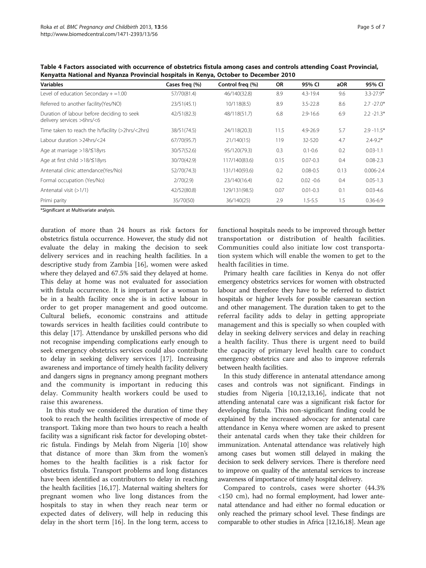<span id="page-4-0"></span>

| Table 4 Factors associated with occurrence of obstetrics fistula among cases and controls attending Coast Provincial, |
|-----------------------------------------------------------------------------------------------------------------------|
| Kenyatta National and Nyanza Provincial hospitals in Kenya, October to December 2010                                  |

| <b>Variables</b>                                                         | Cases freq (%) | Control freq (%) | OR   | 95% CI       | aOR  | 95% CI        |
|--------------------------------------------------------------------------|----------------|------------------|------|--------------|------|---------------|
| Level of education Secondary $+ = 1.00$                                  | 57/70(81.4)    | 46/140(32.8)     | 8.9  | $4.3 - 19.4$ | 9.6  | $3.3 - 27.9*$ |
| Referred to another facility (Yes/NO)                                    | 23/51(45.1)    | 10/118(8.5)      | 8.9  | $3.5 - 22.8$ | 8.6  | $2.7 - 27.0*$ |
| Duration of labour before deciding to seek<br>delivery services >6hrs/<6 | 42/51(82.3)    | 48/118(51.7)     | 6.8  | $2.9 - 16.6$ | 6.9  | $2.2 - 21.3*$ |
| Time taken to reach the h/facility (>2hrs/<2hrs)                         | 38/51(74.5)    | 24/118(20.3)     | 11.5 | $4.9 - 26.9$ | 5.7  | $2.9 - 11.5*$ |
| Labour duration $>$ 24hrs/ $<$ 24                                        | 67/70(95.7)    | 21/140(15)       | 119  | 32-520       | 4.7  | $2.4 - 9.2*$  |
| Age at marriage >18/≤18yrs                                               | 30/57(52.6)    | 95/120(79.3)     | 0.3  | $0.1 - 0.6$  | 0.2  | $0.03 - 1.1$  |
| Age at first child $>18/518$ yrs                                         | 30/70(42.9)    | 117/140(83.6)    | 0.15 | $0.07 - 0.3$ | 0.4  | $0.08 - 2.3$  |
| Antenatal clinic attendance(Yes/No)                                      | 52/70(74.3)    | 131/140(93.6)    | 0.2  | $0.08 - 0.5$ | 0.13 | $0.006 - 2.4$ |
| Formal occupation (Yes/No)                                               | 2/70(2.9)      | 23/140(16.4)     | 0.2  | $0.02 -0.6$  | 0.4  | $0.05 - 1.3$  |
| Antenatal visit (>1/1)                                                   | 42/52(80.8)    | 129/131(98.5)    | 0.07 | $0.01 - 0.3$ | 0.1  | $0.03 - 4.6$  |
| Primi parity                                                             | 35/70(50)      | 36/140(25)       | 2.9  | $1.5 - 5.5$  | 1.5  | $0.36 - 6.9$  |

\*Significant at Multivariate analysis.

duration of more than 24 hours as risk factors for obstetrics fistula occurrence. However, the study did not evaluate the delay in making the decision to seek delivery services and in reaching health facilities. In a descriptive study from Zambia [[16\]](#page-6-0), women were asked where they delayed and 67.5% said they delayed at home. This delay at home was not evaluated for association with fistula occurrence. It is important for a woman to be in a health facility once she is in active labour in order to get proper management and good outcome. Cultural beliefs, economic constrains and attitude towards services in health facilities could contribute to this delay [[17\]](#page-6-0). Attendance by unskilled persons who did not recognise impending complications early enough to seek emergency obstetrics services could also contribute to delay in seeking delivery services [\[17](#page-6-0)]. Increasing awareness and importance of timely health facility delivery and dangers signs in pregnancy among pregnant mothers and the community is important in reducing this delay. Community health workers could be used to raise this awareness.

In this study we considered the duration of time they took to reach the health facilities irrespective of mode of transport. Taking more than two hours to reach a health facility was a significant risk factor for developing obstetric fistula. Findings by Melah from Nigeria [[10](#page-6-0)] show that distance of more than 3km from the women's homes to the health facilities is a risk factor for obstetrics fistula. Transport problems and long distances have been identified as contributors to delay in reaching the health facilities [[16,17\]](#page-6-0). Maternal waiting shelters for pregnant women who live long distances from the hospitals to stay in when they reach near term or expected dates of delivery, will help in reducing this delay in the short term [[16\]](#page-6-0). In the long term, access to

functional hospitals needs to be improved through better transportation or distribution of health facilities. Communities could also initiate low cost transportation system which will enable the women to get to the health facilities in time.

Primary health care facilities in Kenya do not offer emergency obstetrics services for women with obstructed labour and therefore they have to be referred to district hospitals or higher levels for possible caesarean section and other management. The duration taken to get to the referral facility adds to delay in getting appropriate management and this is specially so when coupled with delay in seeking delivery services and delay in reaching a health facility. Thus there is urgent need to build the capacity of primary level health care to conduct emergency obstetrics care and also to improve referrals between health facilities.

In this study difference in antenatal attendance among cases and controls was not significant. Findings in studies from Nigeria [[10,12](#page-6-0),[13](#page-6-0),[16](#page-6-0)], indicate that not attending antenatal care was a significant risk factor for developing fistula. This non-significant finding could be explained by the increased advocacy for antenatal care attendance in Kenya where women are asked to present their antenatal cards when they take their children for immunization. Antenatal attendance was relatively high among cases but women still delayed in making the decision to seek delivery services. There is therefore need to improve on quality of the antenatal services to increase awareness of importance of timely hospital delivery.

Compared to controls, cases were shorter (44.3% <150 cm), had no formal employment, had lower antenatal attendance and had either no formal education or only reached the primary school level. These findings are comparable to other studies in Africa [\[12,16,18\]](#page-6-0). Mean age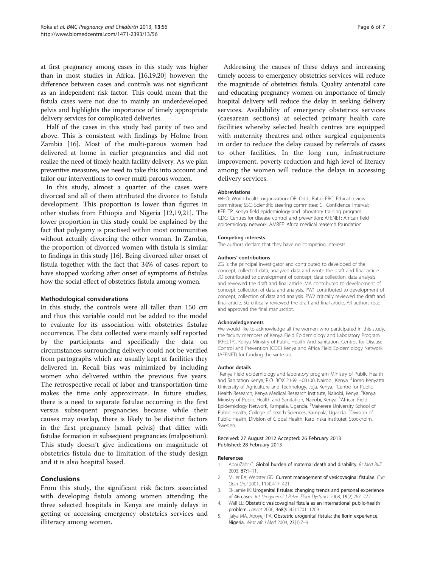<span id="page-5-0"></span>at first pregnancy among cases in this study was higher than in most studies in Africa, [[16,19,20](#page-6-0)] however; the difference between cases and controls was not significant as an independent risk factor. This could mean that the fistula cases were not due to mainly an underdeveloped pelvis and highlights the importance of timely appropriate delivery services for complicated deliveries.

Half of the cases in this study had parity of two and above. This is consistent with findings by Holme from Zambia [\[16](#page-6-0)]. Most of the multi-parous women had delivered at home in earlier pregnancies and did not realize the need of timely health facility delivery. As we plan preventive measures, we need to take this into account and tailor our interventions to cover multi-parous women.

In this study, almost a quarter of the cases were divorced and all of them attributed the divorce to fistula development. This proportion is lower than figures in other studies from Ethiopia and Nigeria [\[12,19,21](#page-6-0)]. The lower proportion in this study could be explained by the fact that polygamy is practised within most communities without actually divorcing the other woman. In Zambia, the proportion of divorced women with fistula is similar to findings in this study [\[16](#page-6-0)]. Being divorced after onset of fistula together with the fact that 34% of cases report to have stopped working after onset of symptoms of fistulas how the social effect of obstetrics fistula among women.

#### Methodological considerations

In this study, the controls were all taller than 150 cm and thus this variable could not be added to the model to evaluate for its association with obstetrics fistulae occurrence. The data collected were mainly self reported by the participants and specifically the data on circumstances surrounding delivery could not be verified from partographs which are usually kept at facilities they delivered in. Recall bias was minimized by including women who delivered within the previous five years. The retrospective recall of labor and transportation time makes the time only approximate. In future studies, there is a need to separate fistulae occurring in the first versus subsequent pregnancies because while their causes may overlap, there is likely to be distinct factors in the first pregnancy (small pelvis) that differ with fistulae formation in subsequent pregnancies (malposition). This study doesn't give indications on magnitude of obstetrics fistula due to limitation of the study design and it is also hospital based.

## Conclusions

From this study, the significant risk factors associated with developing fistula among women attending the three selected hospitals in Kenya are mainly delays in getting or accessing emergency obstetrics services and illiteracy among women.

Addressing the causes of these delays and increasing timely access to emergency obstetrics services will reduce the magnitude of obstetrics fistula. Quality antenatal care and educating pregnancy women on importance of timely hospital delivery will reduce the delay in seeking delivery services. Availability of emergency obstetrics services (caesarean sections) at selected primary health care facilities whereby selected health centres are equipped with maternity theatres and other surgical equipments in order to reduce the delay caused by referrals of cases to other facilities. In the long run, infrastructure improvement, poverty reduction and high level of literacy among the women will reduce the delays in accessing delivery services.

#### Abbreviations

WHO: World health organization; OR: Odds Ratio; ERC: Ethical review committee; SSC: Scientific steering committee; CI: Confidence interval; KFELTP: Kenya field epidemiology and laboratory training program; CDC: Centres for disease control and prevention; AFENET: African field epidemiology network; AMREF: Africa medical reaserch foundation.

#### Competing interests

The authors declare that they have no competing interests.

#### Authors' contributions

ZG is the principal investigator and contributed to developed of the concept, collected data, analyzed data and wrote the draft and final article. JO contributed to development of concept, data collection, data analysis and reviewed the draft and final article. MA contributed to development of concept, collection of data and analysis. PW1 contributed to development of concept, collection of data and analysis. PW2 critically reviewed the draft and final article. SG critically reviewed the draft and final article. All authors read and approved the final manuscript.

#### Acknowledgements

We would like to acknowledge all the women who participated in this study, the faculty members of Kenya Field Epidemiology and Laboratory Program (KFELTP), Kenya Ministry of Public Health And Sanitation, Centres for Disease Control and Prevention (CDC) Kenya and Africa Field Epidemiology Network (AFENET) for funding the write up.

#### Author details

<sup>1</sup> Kenya Field epidemiology and laboratory program Ministry of Public Health and Sanitation Kenya, P.O. BOX 21691-00100, Nairobi, Kenya. <sup>2</sup>Jomo Kenyatta University of Agriculture and Technology, Juja, Kenya. <sup>3</sup>Centre for Public Health Research, Kenya Medical Research Institute, Nairobi, Kenya. <sup>4</sup>Kenya Ministry of Public Health and Sanitation, Nairobi, Kenya. <sup>5</sup>African Field Epidemiology Network, Kampala, Uganda. <sup>6</sup>Makerere University School of Public Health, College of health Sciences, Kampala, Uganda. <sup>7</sup> Division of Public Health, Division of Global Health, Karolinska Institutet, Stockholm, Sweden.

#### Received: 27 August 2012 Accepted: 26 February 2013 Published: 28 February 2013

#### References

- 1. AbouZahr C: Global burden of maternal death and disability. Br Med Bull 2003, 67:1–11.
- 2. Miller EA, Webster GD: Current management of vesicovaginal fistulae. Curr Opin Urol 2001, 11(4):417–421.
- 3. El-Lamie IK: Urogenital fistulae: changing trends and personal experience of 46 cases. Int Urogynecol J Pelvic Floor Dysfunct 2008, 19(2):267–272.
- 4. Wall LL: Obstetric vesicovaginal fistula as an international public-health problem. Lancet 2006, 368(9542):1201–1209.
- 5. Ijaiya MA, Aboyeji PA: Obstetric urogenital fistula: the Ilorin experience, Nigeria. West Afr J Med 2004, 23(1):7–9.